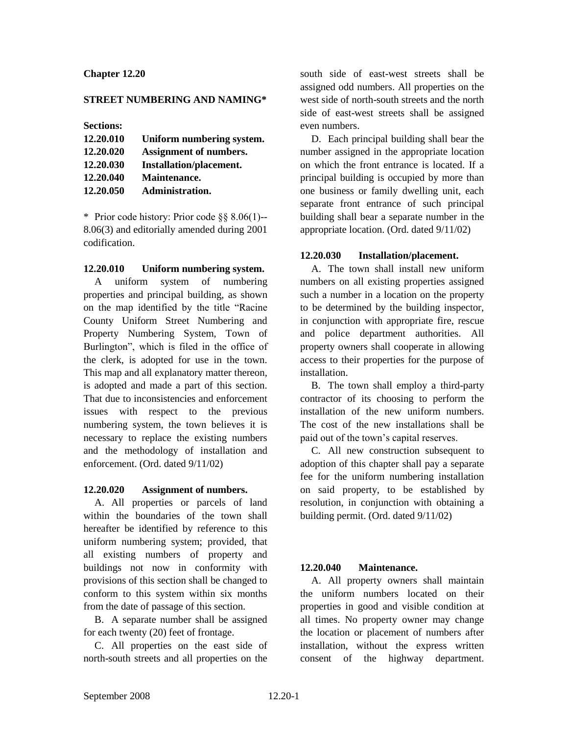## **Chapter 12.20**

### **STREET NUMBERING AND NAMING\***

**Sections:**

| 12.20.010 | Uniform numbering system.      |
|-----------|--------------------------------|
| 12.20.020 | Assignment of numbers.         |
| 12.20.030 | <b>Installation/placement.</b> |
| 12.20.040 | Maintenance.                   |
| 12.20.050 | Administration.                |

\* Prior code history: Prior code §§ 8.06(1)-- 8.06(3) and editorially amended during 2001 codification.

#### **12.20.010 Uniform numbering system.**

A uniform system of numbering properties and principal building, as shown on the map identified by the title "Racine County Uniform Street Numbering and Property Numbering System, Town of Burlington", which is filed in the office of the clerk, is adopted for use in the town. This map and all explanatory matter thereon, is adopted and made a part of this section. That due to inconsistencies and enforcement issues with respect to the previous numbering system, the town believes it is necessary to replace the existing numbers and the methodology of installation and enforcement. (Ord. dated 9/11/02)

### **12.20.020 Assignment of numbers.**

A. All properties or parcels of land within the boundaries of the town shall hereafter be identified by reference to this uniform numbering system; provided, that all existing numbers of property and buildings not now in conformity with provisions of this section shall be changed to conform to this system within six months from the date of passage of this section.

B. A separate number shall be assigned for each twenty (20) feet of frontage.

C. All properties on the east side of north-south streets and all properties on the

south side of east-west streets shall be assigned odd numbers. All properties on the west side of north-south streets and the north side of east-west streets shall be assigned even numbers.

D. Each principal building shall bear the number assigned in the appropriate location on which the front entrance is located. If a principal building is occupied by more than one business or family dwelling unit, each separate front entrance of such principal building shall bear a separate number in the appropriate location. (Ord. dated 9/11/02)

### **12.20.030 Installation/placement.**

A. The town shall install new uniform numbers on all existing properties assigned such a number in a location on the property to be determined by the building inspector, in conjunction with appropriate fire, rescue and police department authorities. All property owners shall cooperate in allowing access to their properties for the purpose of installation.

B. The town shall employ a third-party contractor of its choosing to perform the installation of the new uniform numbers. The cost of the new installations shall be paid out of the town's capital reserves.

C. All new construction subsequent to adoption of this chapter shall pay a separate fee for the uniform numbering installation on said property, to be established by resolution, in conjunction with obtaining a building permit. (Ord. dated 9/11/02)

### **12.20.040 Maintenance.**

A. All property owners shall maintain the uniform numbers located on their properties in good and visible condition at all times. No property owner may change the location or placement of numbers after installation, without the express written consent of the highway department.